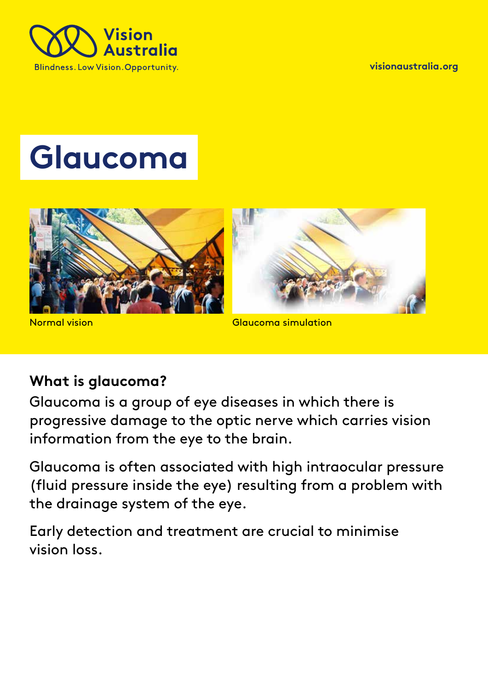

**visionaustralia.org**

# **Glaucoma**



Normal vision

Glaucoma simulation

### **What is glaucoma?**

Glaucoma is a group of eye diseases in which there is progressive damage to the optic nerve which carries vision information from the eye to the brain.

Glaucoma is often associated with high intraocular pressure (fluid pressure inside the eye) resulting from a problem with the drainage system of the eye.

Early detection and treatment are crucial to minimise vision loss.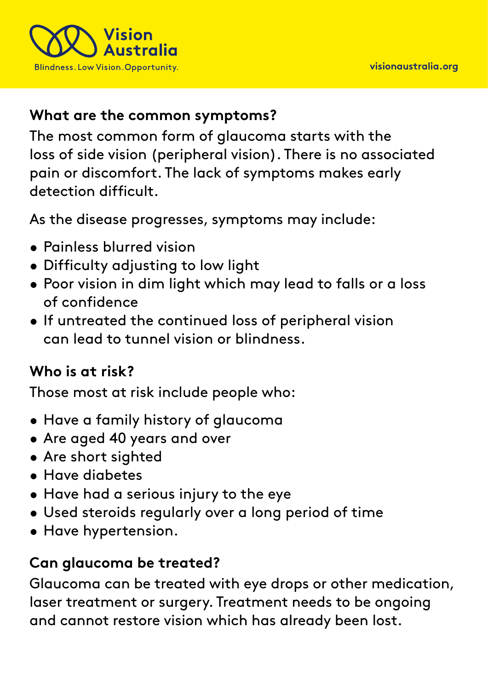

### **What are the common symptoms?**

The most common form of glaucoma starts with the loss of side vision (peripheral vision). There is no associated pain or discomfort. The lack of symptoms makes early detection difficult.

As the disease progresses, symptoms may include:

- Painless blurred vision
- Difficulty adjusting to low light
- Poor vision in dim light which may lead to falls or a loss of confidence
- If untreated the continued loss of peripheral vision can lead to tunnel vision or blindness.

### **Who is at risk?**

Those most at risk include people who:

- Have a family history of glaucoma
- Are aged 40 years and over
- Are short sighted
- Have diabetes
- Have had a serious injury to the eye
- Used steroids regularly over a long period of time
- Have hypertension.

## **Can glaucoma be treated?**

Glaucoma can be treated with eye drops or other medication, laser treatment or surgery. Treatment needs to be ongoing and cannot restore vision which has already been lost.